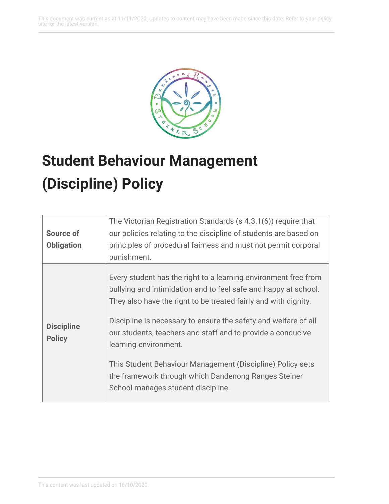This document was current as at 11/11/2020. Updates to content may have been made since this date. Refer to your policy site for the latest version.



## **Student Behaviour Management (Discipline) Policy**

|                                    | The Victorian Registration Standards (s 4.3.1(6)) require that                                                                                                                                                                                                                                                                                                                                                                                                                                                               |
|------------------------------------|------------------------------------------------------------------------------------------------------------------------------------------------------------------------------------------------------------------------------------------------------------------------------------------------------------------------------------------------------------------------------------------------------------------------------------------------------------------------------------------------------------------------------|
| <b>Source of</b>                   | our policies relating to the discipline of students are based on                                                                                                                                                                                                                                                                                                                                                                                                                                                             |
| <b>Obligation</b>                  | principles of procedural fairness and must not permit corporal                                                                                                                                                                                                                                                                                                                                                                                                                                                               |
|                                    | punishment.                                                                                                                                                                                                                                                                                                                                                                                                                                                                                                                  |
| <b>Discipline</b><br><b>Policy</b> | Every student has the right to a learning environment free from<br>bullying and intimidation and to feel safe and happy at school.<br>They also have the right to be treated fairly and with dignity.<br>Discipline is necessary to ensure the safety and welfare of all<br>our students, teachers and staff and to provide a conducive<br>learning environment.<br>This Student Behaviour Management (Discipline) Policy sets<br>the framework through which Dandenong Ranges Steiner<br>School manages student discipline. |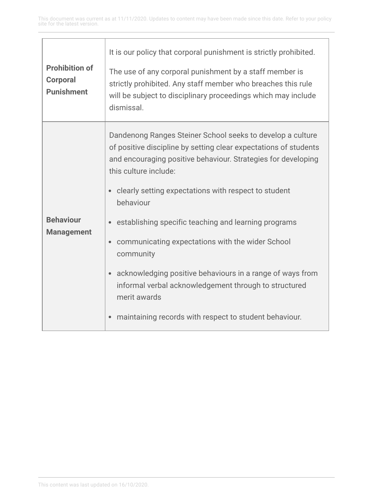| <b>Prohibition of</b><br><b>Corporal</b><br><b>Punishment</b> | It is our policy that corporal punishment is strictly prohibited.<br>The use of any corporal punishment by a staff member is<br>strictly prohibited. Any staff member who breaches this rule<br>will be subject to disciplinary proceedings which may include<br>dismissal.                                                                                                                                                                                                                                                                                                                                                                      |
|---------------------------------------------------------------|--------------------------------------------------------------------------------------------------------------------------------------------------------------------------------------------------------------------------------------------------------------------------------------------------------------------------------------------------------------------------------------------------------------------------------------------------------------------------------------------------------------------------------------------------------------------------------------------------------------------------------------------------|
| <b>Behaviour</b><br><b>Management</b>                         | Dandenong Ranges Steiner School seeks to develop a culture<br>of positive discipline by setting clear expectations of students<br>and encouraging positive behaviour. Strategies for developing<br>this culture include:<br>clearly setting expectations with respect to student<br>behaviour<br>establishing specific teaching and learning programs<br>communicating expectations with the wider School<br>$\bullet$<br>community<br>acknowledging positive behaviours in a range of ways from<br>$\bullet$<br>informal verbal acknowledgement through to structured<br>merit awards<br>maintaining records with respect to student behaviour. |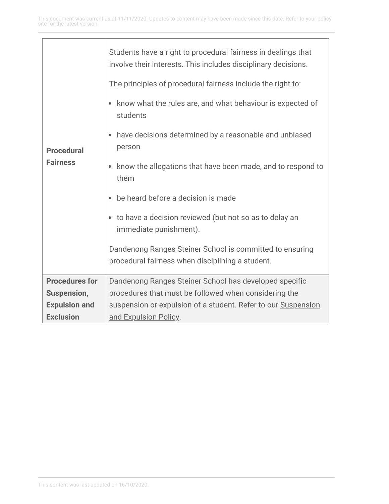| <b>Procedural</b><br><b>Fairness</b> | Students have a right to procedural fairness in dealings that<br>involve their interests. This includes disciplinary decisions. |
|--------------------------------------|---------------------------------------------------------------------------------------------------------------------------------|
|                                      | The principles of procedural fairness include the right to:                                                                     |
|                                      | know what the rules are, and what behaviour is expected of<br>$\bullet$<br>students                                             |
|                                      | have decisions determined by a reasonable and unbiased<br>person                                                                |
|                                      | know the allegations that have been made, and to respond to<br>$\bullet$<br>them                                                |
|                                      | be heard before a decision is made<br>$\bullet$                                                                                 |
|                                      | to have a decision reviewed (but not so as to delay an<br>۰<br>immediate punishment).                                           |
|                                      | Dandenong Ranges Steiner School is committed to ensuring                                                                        |
|                                      | procedural fairness when disciplining a student.                                                                                |
| <b>Procedures for</b>                | Dandenong Ranges Steiner School has developed specific                                                                          |
| Suspension,                          | procedures that must be followed when considering the                                                                           |
| <b>Expulsion and</b>                 | suspension or expulsion of a student. Refer to our Suspension                                                                   |
| <b>Exclusion</b>                     | and Expulsion Policy.                                                                                                           |